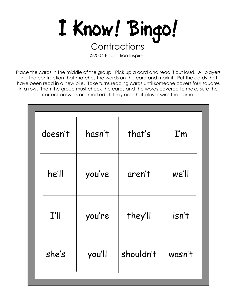

©2004 Education Inspired

| doesn't | hasn't | that's    | I'm    |
|---------|--------|-----------|--------|
| he'll   | you've | aren't    | we'll  |
| I'      | you're | they'll   | isn't  |
| she's   | you'll | shouldn't | wasn't |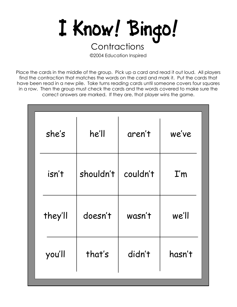

©2004 Education Inspired

| she's            | he'll     | aren't   | we've           |  |
|------------------|-----------|----------|-----------------|--|
| isn't            | shouldn't | couldn't | $\mathbf{I}'$ m |  |
| they'll          | doesn't   | wasn't   | we'll           |  |
| that's<br>you'll |           | didn't   | hasn't          |  |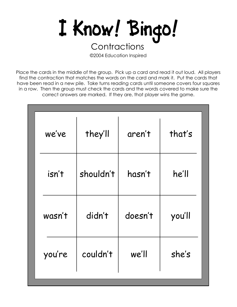

©2004 Education Inspired

| we've  | they'll   | aren't  | that's |  |
|--------|-----------|---------|--------|--|
| isn't  | shouldn't | hasn't  | he'll  |  |
| wasn't | didn't    | doesn't | you'll |  |
| you're | couldn't  | we'll   | she's  |  |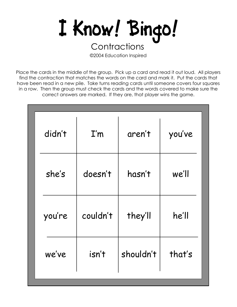

©2004 Education Inspired

| didn't | I'm      | aren't    | you've |
|--------|----------|-----------|--------|
| she's  | doesn't  | hasn't    | we'll  |
| you're | couldn't | they'll   | he'll  |
| we've  | isn't    | shouldn't | that's |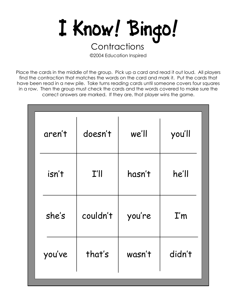

©2004 Education Inspired

| aren't | doesn't  | we'll  | you'll                  |
|--------|----------|--------|-------------------------|
| isn't  | I'll     | hasn't | he'll                   |
| she's  | couldn't | you're | $\mathbf{I}'\mathbf{m}$ |
| you've | that's   | wasn't | didn't                  |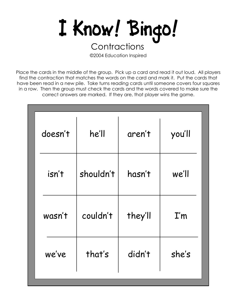

©2004 Education Inspired

| doesn't         | he'll     | aren't  | you'll          |  |
|-----------------|-----------|---------|-----------------|--|
| isn't           | shouldn't | hasn't  | we'll           |  |
| wasn't          | couldn't  | they'll | $\mathbf{I}'$ m |  |
| that's<br>we've |           | didn't  | she's           |  |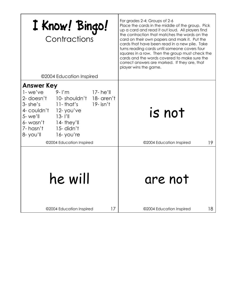| I Know! Bingo!<br>Contractions                                                                                                                                                                                                                                                                                               |                                     |    | For grades 2-4; Groups of 2-6<br>Place the cards in the middle of the group. Pick<br>up a card and read it out loud. All players find<br>the contraction that matches the words on the<br>card on their own papers and mark it. Put the<br>cards that have been read in a new pile. Take<br>turns reading cards until someone covers four<br>squares in a row. Then the group must check the<br>cards and the words covered to make sure the<br>correct answers are marked. If they are, that<br>player wins the game. |  |
|------------------------------------------------------------------------------------------------------------------------------------------------------------------------------------------------------------------------------------------------------------------------------------------------------------------------------|-------------------------------------|----|------------------------------------------------------------------------------------------------------------------------------------------------------------------------------------------------------------------------------------------------------------------------------------------------------------------------------------------------------------------------------------------------------------------------------------------------------------------------------------------------------------------------|--|
|                                                                                                                                                                                                                                                                                                                              | ©2004 Education Inspired            |    |                                                                                                                                                                                                                                                                                                                                                                                                                                                                                                                        |  |
| <b>Answer Key</b><br>1-we've<br>$17 - he'll$<br>$9 - l'm$<br>2- doesn't<br>10-shouldn't 18-aren't<br>$3 - she's$<br>$19 - i \sin't$<br>$11$ -that's<br>4- couldn't<br>$12$ -you've<br>$5-$ we'll<br>$13 - 1'$ ll<br>6-wasn't<br>$14$ -they'll<br>15-didn't<br>7- hasn't<br>8-you'll<br>16-you're<br>©2004 Education Inspired |                                     |    | is not<br>©2004 Education Inspired<br>19                                                                                                                                                                                                                                                                                                                                                                                                                                                                               |  |
|                                                                                                                                                                                                                                                                                                                              | he will<br>©2004 Education Inspired | 17 | are not<br>18<br>©2004 Education Inspired                                                                                                                                                                                                                                                                                                                                                                                                                                                                              |  |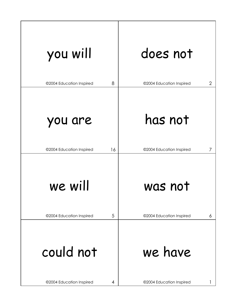| you will                 |    | does not                                   |
|--------------------------|----|--------------------------------------------|
| ©2004 Education Inspired | 8  | $\overline{2}$<br>©2004 Education Inspired |
| you are                  |    | has not                                    |
| ©2004 Education Inspired | 16 | ©2004 Education Inspired<br>7              |
| we will                  |    | was not                                    |
| ©2004 Education Inspired | 5  | ©2004 Education Inspired<br>6              |
| could not                |    | we have                                    |
| ©2004 Education Inspired | 4  | ©2004 Education Inspired                   |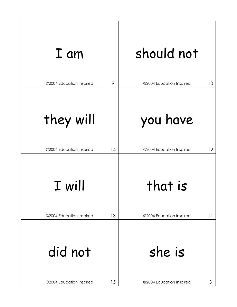| I am                     | should not               |
|--------------------------|--------------------------|
| 9                        | ©2004 Education Inspired |
| ©2004 Education Inspired | 10                       |
| they will                | you have                 |
| 14                       | 12                       |
| ©2004 Education Inspired | ©2004 Education Inspired |
| I will                   | that is                  |
| 13                       | ©2004 Education Inspired |
| ©2004 Education Inspired | 11                       |
| did not                  | she is                   |
| ©2004 Education Inspired | ©2004 Education Inspired |
| 15                       | 3                        |